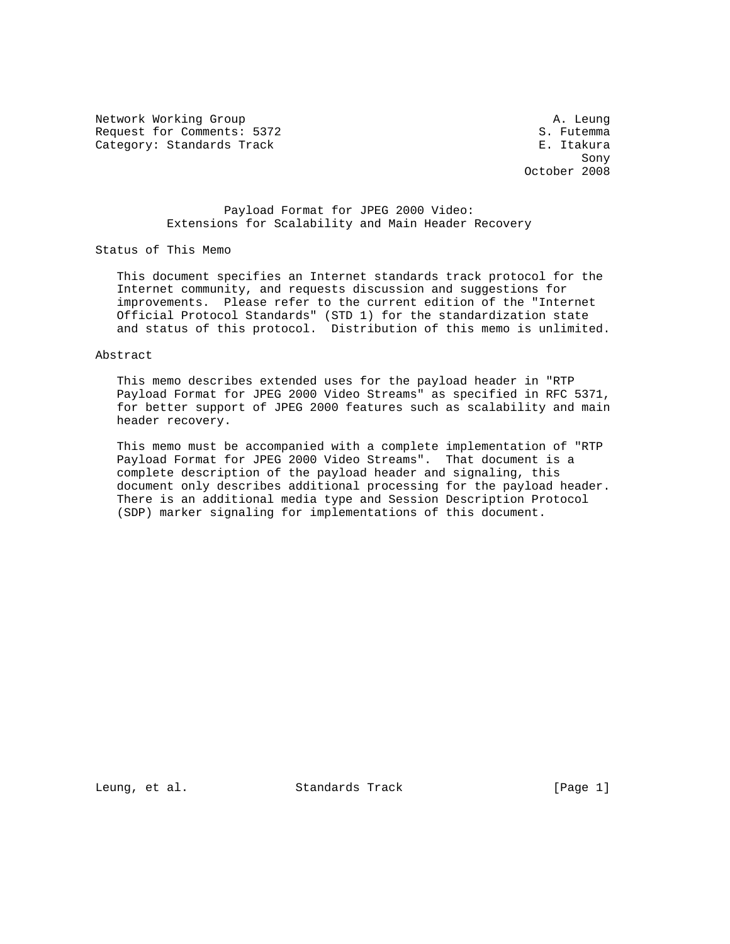Network Working Group and the set of the set of the set of the set of the set of the set of the set of the set of the set of the set of the set of the set of the set of the set of the set of the set of the set of the set o Request for Comments: 5372 S. Futemma Category: Standards Track E. Itakura

 $\sim$  Sony  $\sim$  Sony  $\sim$  Sony  $\sim$ October 2008

## Payload Format for JPEG 2000 Video: Extensions for Scalability and Main Header Recovery

Status of This Memo

 This document specifies an Internet standards track protocol for the Internet community, and requests discussion and suggestions for improvements. Please refer to the current edition of the "Internet Official Protocol Standards" (STD 1) for the standardization state and status of this protocol. Distribution of this memo is unlimited.

Abstract

 This memo describes extended uses for the payload header in "RTP Payload Format for JPEG 2000 Video Streams" as specified in RFC 5371, for better support of JPEG 2000 features such as scalability and main header recovery.

 This memo must be accompanied with a complete implementation of "RTP Payload Format for JPEG 2000 Video Streams". That document is a complete description of the payload header and signaling, this document only describes additional processing for the payload header. There is an additional media type and Session Description Protocol (SDP) marker signaling for implementations of this document.

Leung, et al. Standards Track [Page 1]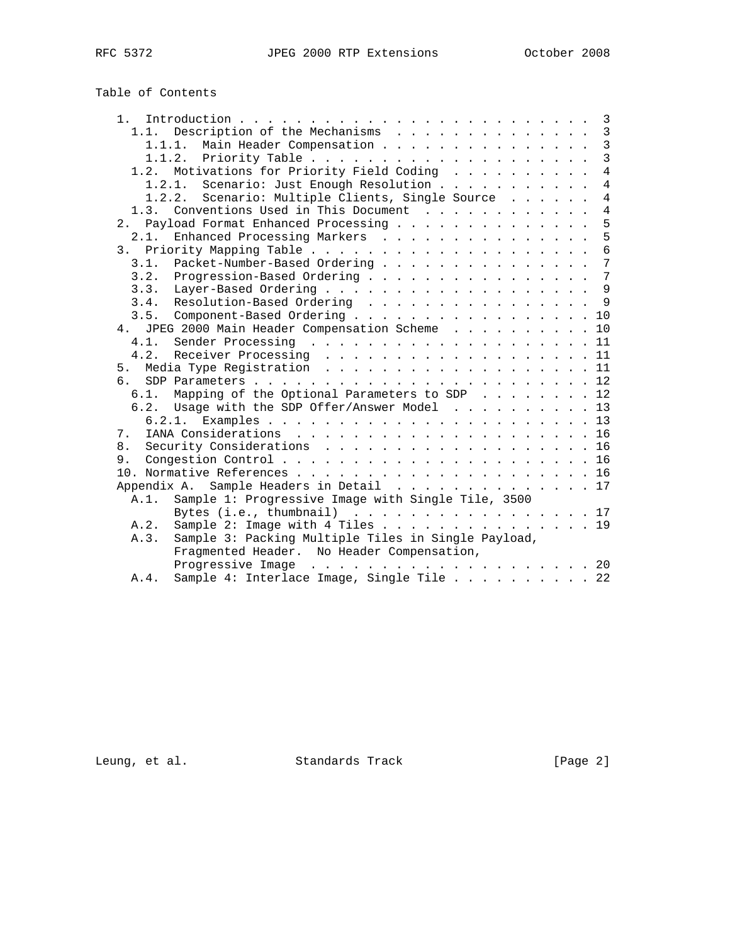| Table of Contents |  |
|-------------------|--|
|-------------------|--|

| 1.<br>$\overline{3}$                                               |
|--------------------------------------------------------------------|
| $\mathbf{3}$<br>1.1. Description of the Mechanisms                 |
| $\mathbf{3}$<br>1.1.1. Main Header Compensation                    |
| $\overline{3}$                                                     |
| $\overline{4}$<br>1.2. Motivations for Priority Field Coding       |
| $\overline{4}$<br>1.2.1. Scenario: Just Enough Resolution          |
| $\overline{4}$<br>1.2.2. Scenario: Multiple Clients, Single Source |
| $\overline{4}$<br>1.3. Conventions Used in This Document           |
| 5<br>2. Payload Format Enhanced Processing                         |
| 5<br>Enhanced Processing Markers<br>2.1.                           |
| 6                                                                  |
| 7<br>Packet-Number-Based Ordering<br>3.1.                          |
| $\overline{7}$<br>3.2. Progression-Based Ordering                  |
| 9                                                                  |
| 3.4. Resolution-Based Ordering<br>9                                |
| Component-Based Ordering 10<br>3.5.                                |
| 4. JPEG 2000 Main Header Compensation Scheme 10                    |
| 4.1.                                                               |
| 4.2. Receiver Processing 11                                        |
| Media Type Registration 11<br>5.                                   |
| ნ — $\overline{a}$                                                 |
| Mapping of the Optional Parameters to SDP 12<br>6.1.               |
| 6.2. Usage with the SDP Offer/Answer Model 13                      |
|                                                                    |
| 7.                                                                 |
| Security Considerations 16<br>8.                                   |
|                                                                    |
|                                                                    |
| Appendix A. Sample Headers in Detail 17                            |
| Sample 1: Progressive Image with Single Tile, 3500<br>A.1.         |
| Bytes (i.e., thumbnail) $\ldots$ , 17                              |
| Sample 2: Image with 4 Tiles 19<br>A.2.                            |
| Sample 3: Packing Multiple Tiles in Single Payload,<br>A.3.        |
| Fragmented Header. No Header Compensation,                         |
|                                                                    |
| Sample 4: Interlace Image, Single Tile 22<br>A.4.                  |
|                                                                    |

Leung, et al. Standards Track [Page 2]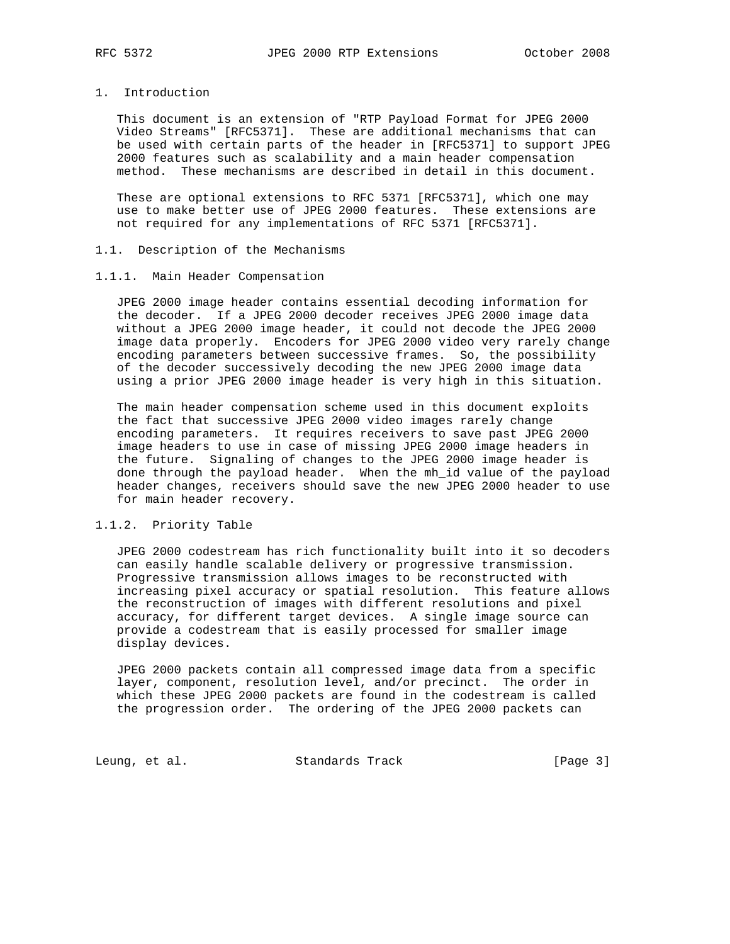## 1. Introduction

 This document is an extension of "RTP Payload Format for JPEG 2000 Video Streams" [RFC5371]. These are additional mechanisms that can be used with certain parts of the header in [RFC5371] to support JPEG 2000 features such as scalability and a main header compensation method. These mechanisms are described in detail in this document.

 These are optional extensions to RFC 5371 [RFC5371], which one may use to make better use of JPEG 2000 features. These extensions are not required for any implementations of RFC 5371 [RFC5371].

## 1.1. Description of the Mechanisms

#### 1.1.1. Main Header Compensation

 JPEG 2000 image header contains essential decoding information for the decoder. If a JPEG 2000 decoder receives JPEG 2000 image data without a JPEG 2000 image header, it could not decode the JPEG 2000 image data properly. Encoders for JPEG 2000 video very rarely change encoding parameters between successive frames. So, the possibility of the decoder successively decoding the new JPEG 2000 image data using a prior JPEG 2000 image header is very high in this situation.

 The main header compensation scheme used in this document exploits the fact that successive JPEG 2000 video images rarely change encoding parameters. It requires receivers to save past JPEG 2000 image headers to use in case of missing JPEG 2000 image headers in the future. Signaling of changes to the JPEG 2000 image header is done through the payload header. When the mh\_id value of the payload header changes, receivers should save the new JPEG 2000 header to use for main header recovery.

## 1.1.2. Priority Table

 JPEG 2000 codestream has rich functionality built into it so decoders can easily handle scalable delivery or progressive transmission. Progressive transmission allows images to be reconstructed with increasing pixel accuracy or spatial resolution. This feature allows the reconstruction of images with different resolutions and pixel accuracy, for different target devices. A single image source can provide a codestream that is easily processed for smaller image display devices.

 JPEG 2000 packets contain all compressed image data from a specific layer, component, resolution level, and/or precinct. The order in which these JPEG 2000 packets are found in the codestream is called the progression order. The ordering of the JPEG 2000 packets can

Leung, et al. Standards Track [Page 3]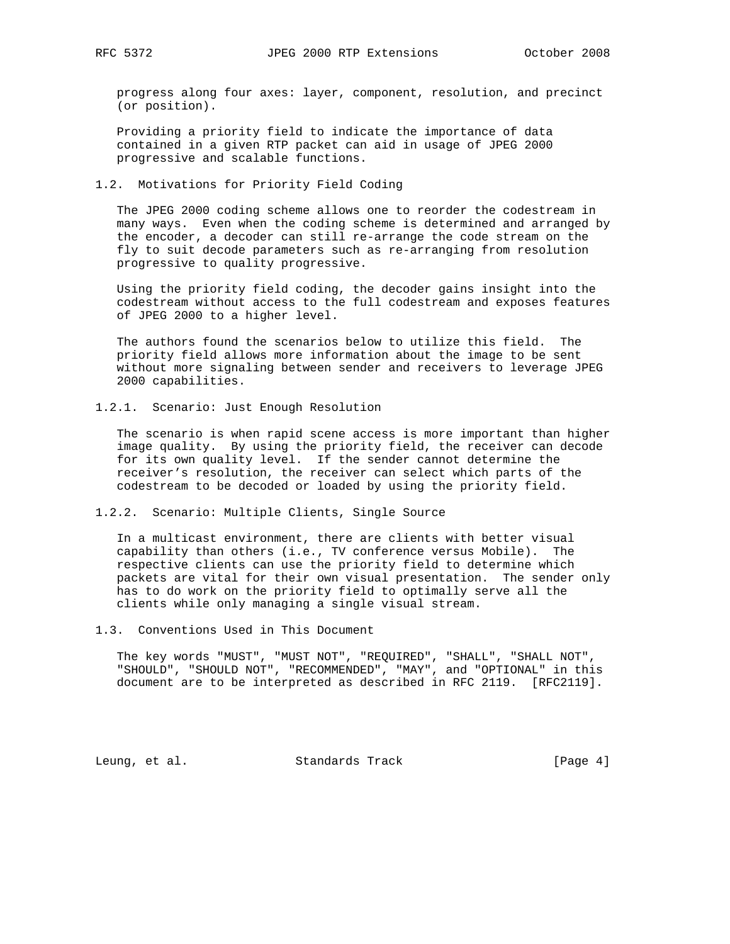progress along four axes: layer, component, resolution, and precinct (or position).

 Providing a priority field to indicate the importance of data contained in a given RTP packet can aid in usage of JPEG 2000 progressive and scalable functions.

## 1.2. Motivations for Priority Field Coding

 The JPEG 2000 coding scheme allows one to reorder the codestream in many ways. Even when the coding scheme is determined and arranged by the encoder, a decoder can still re-arrange the code stream on the fly to suit decode parameters such as re-arranging from resolution progressive to quality progressive.

 Using the priority field coding, the decoder gains insight into the codestream without access to the full codestream and exposes features of JPEG 2000 to a higher level.

 The authors found the scenarios below to utilize this field. The priority field allows more information about the image to be sent without more signaling between sender and receivers to leverage JPEG 2000 capabilities.

### 1.2.1. Scenario: Just Enough Resolution

 The scenario is when rapid scene access is more important than higher image quality. By using the priority field, the receiver can decode for its own quality level. If the sender cannot determine the receiver's resolution, the receiver can select which parts of the codestream to be decoded or loaded by using the priority field.

### 1.2.2. Scenario: Multiple Clients, Single Source

 In a multicast environment, there are clients with better visual capability than others (i.e., TV conference versus Mobile). The respective clients can use the priority field to determine which packets are vital for their own visual presentation. The sender only has to do work on the priority field to optimally serve all the clients while only managing a single visual stream.

### 1.3. Conventions Used in This Document

 The key words "MUST", "MUST NOT", "REQUIRED", "SHALL", "SHALL NOT", "SHOULD", "SHOULD NOT", "RECOMMENDED", "MAY", and "OPTIONAL" in this document are to be interpreted as described in RFC 2119. [RFC2119].

Leung, et al. Standards Track [Page 4]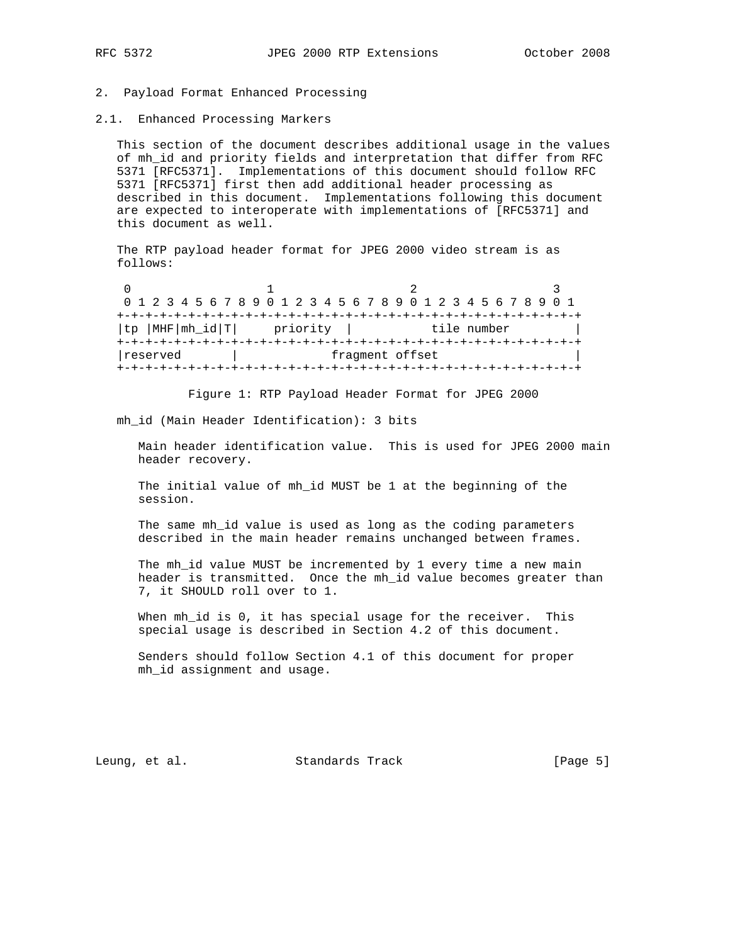## 2. Payload Format Enhanced Processing

2.1. Enhanced Processing Markers

 This section of the document describes additional usage in the values of mh\_id and priority fields and interpretation that differ from RFC 5371 [RFC5371]. Implementations of this document should follow RFC 5371 [RFC5371] first then add additional header processing as described in this document. Implementations following this document are expected to interoperate with implementations of [RFC5371] and this document as well.

 The RTP payload header format for JPEG 2000 video stream is as follows:

0  $1$  2 3 0 1 2 3 4 5 6 7 8 9 0 1 2 3 4 5 6 7 8 9 0 1 2 3 4 5 6 7 8 9 0 1 +-+-+-+-+-+-+-+-+-+-+-+-+-+-+-+-+-+-+-+-+-+-+-+-+-+-+-+-+-+-+-+-+ |tp |MHF|mh\_id|T| priority | tile number | +-+-+-+-+-+-+-+-+-+-+-+-+-+-+-+-+-+-+-+-+-+-+-+-+-+-+-+-+-+-+-+-+ | reserved | fragment offset +-+-+-+-+-+-+-+-+-+-+-+-+-+-+-+-+-+-+-+-+-+-+-+-+-+-+-+-+-+-+-+-+

Figure 1: RTP Payload Header Format for JPEG 2000

mh\_id (Main Header Identification): 3 bits

 Main header identification value. This is used for JPEG 2000 main header recovery.

 The initial value of mh\_id MUST be 1 at the beginning of the session.

The same mh id value is used as long as the coding parameters described in the main header remains unchanged between frames.

 The mh\_id value MUST be incremented by 1 every time a new main header is transmitted. Once the mh\_id value becomes greater than 7, it SHOULD roll over to 1.

When mh\_id is 0, it has special usage for the receiver. This special usage is described in Section 4.2 of this document.

 Senders should follow Section 4.1 of this document for proper mh\_id assignment and usage.

Leung, et al. Standards Track [Page 5]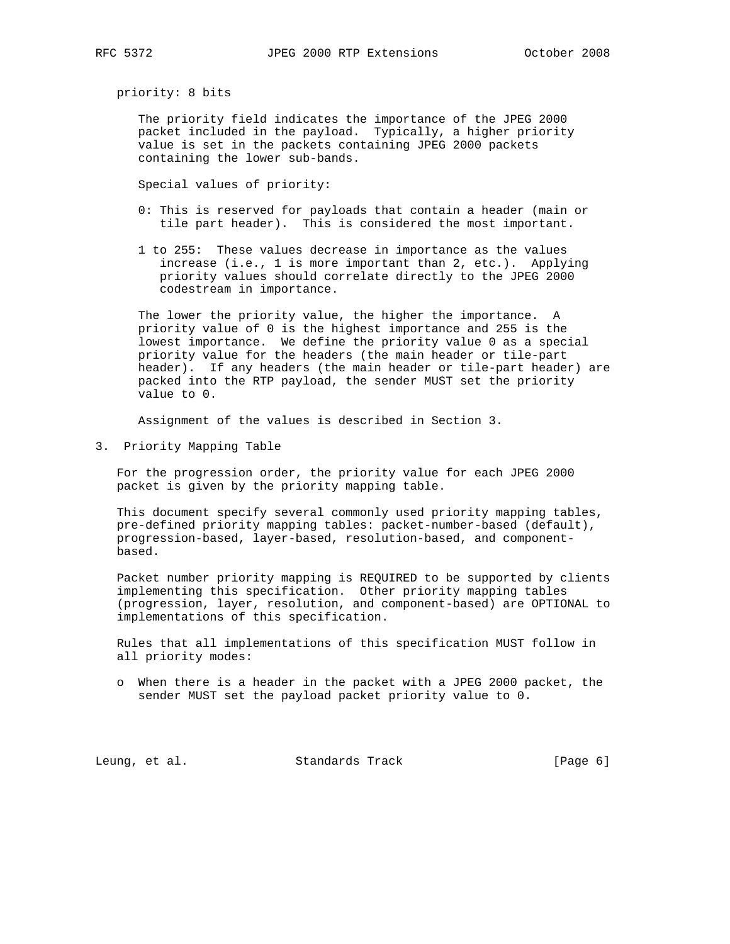priority: 8 bits

 The priority field indicates the importance of the JPEG 2000 packet included in the payload. Typically, a higher priority value is set in the packets containing JPEG 2000 packets containing the lower sub-bands.

Special values of priority:

- 0: This is reserved for payloads that contain a header (main or tile part header). This is considered the most important.
- 1 to 255: These values decrease in importance as the values increase (i.e., 1 is more important than 2, etc.). Applying priority values should correlate directly to the JPEG 2000 codestream in importance.

 The lower the priority value, the higher the importance. A priority value of 0 is the highest importance and 255 is the lowest importance. We define the priority value 0 as a special priority value for the headers (the main header or tile-part header). If any headers (the main header or tile-part header) are packed into the RTP payload, the sender MUST set the priority value to 0.

Assignment of the values is described in Section 3.

3. Priority Mapping Table

 For the progression order, the priority value for each JPEG 2000 packet is given by the priority mapping table.

 This document specify several commonly used priority mapping tables, pre-defined priority mapping tables: packet-number-based (default), progression-based, layer-based, resolution-based, and component based.

 Packet number priority mapping is REQUIRED to be supported by clients implementing this specification. Other priority mapping tables (progression, layer, resolution, and component-based) are OPTIONAL to implementations of this specification.

 Rules that all implementations of this specification MUST follow in all priority modes:

 o When there is a header in the packet with a JPEG 2000 packet, the sender MUST set the payload packet priority value to 0.

Leung, et al. Standards Track [Page 6]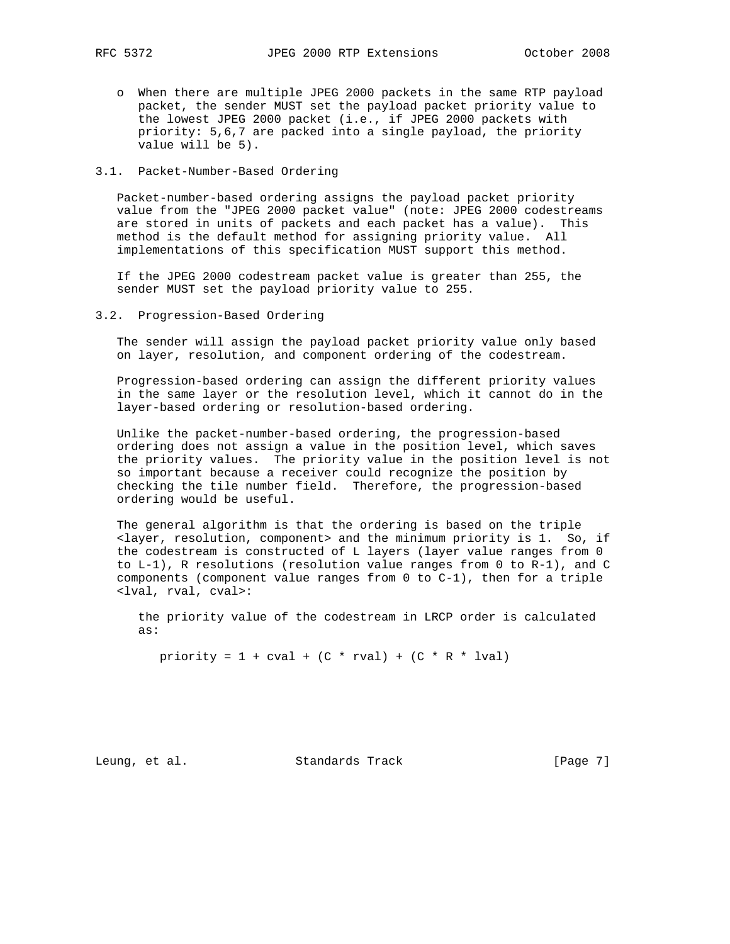o When there are multiple JPEG 2000 packets in the same RTP payload packet, the sender MUST set the payload packet priority value to the lowest JPEG 2000 packet (i.e., if JPEG 2000 packets with priority: 5,6,7 are packed into a single payload, the priority value will be 5).

# 3.1. Packet-Number-Based Ordering

 Packet-number-based ordering assigns the payload packet priority value from the "JPEG 2000 packet value" (note: JPEG 2000 codestreams are stored in units of packets and each packet has a value). This method is the default method for assigning priority value. All implementations of this specification MUST support this method.

 If the JPEG 2000 codestream packet value is greater than 255, the sender MUST set the payload priority value to 255.

3.2. Progression-Based Ordering

 The sender will assign the payload packet priority value only based on layer, resolution, and component ordering of the codestream.

 Progression-based ordering can assign the different priority values in the same layer or the resolution level, which it cannot do in the layer-based ordering or resolution-based ordering.

 Unlike the packet-number-based ordering, the progression-based ordering does not assign a value in the position level, which saves the priority values. The priority value in the position level is not so important because a receiver could recognize the position by checking the tile number field. Therefore, the progression-based ordering would be useful.

 The general algorithm is that the ordering is based on the triple <layer, resolution, component> and the minimum priority is 1. So, if the codestream is constructed of L layers (layer value ranges from 0 to L-1), R resolutions (resolution value ranges from 0 to R-1), and C components (component value ranges from 0 to C-1), then for a triple <lval, rval, cval>:

 the priority value of the codestream in LRCP order is calculated as:

priority =  $1 + \text{cval} + (C * \text{rval}) + (C * R * \text{lval})$ 

Leung, et al. Standards Track [Page 7]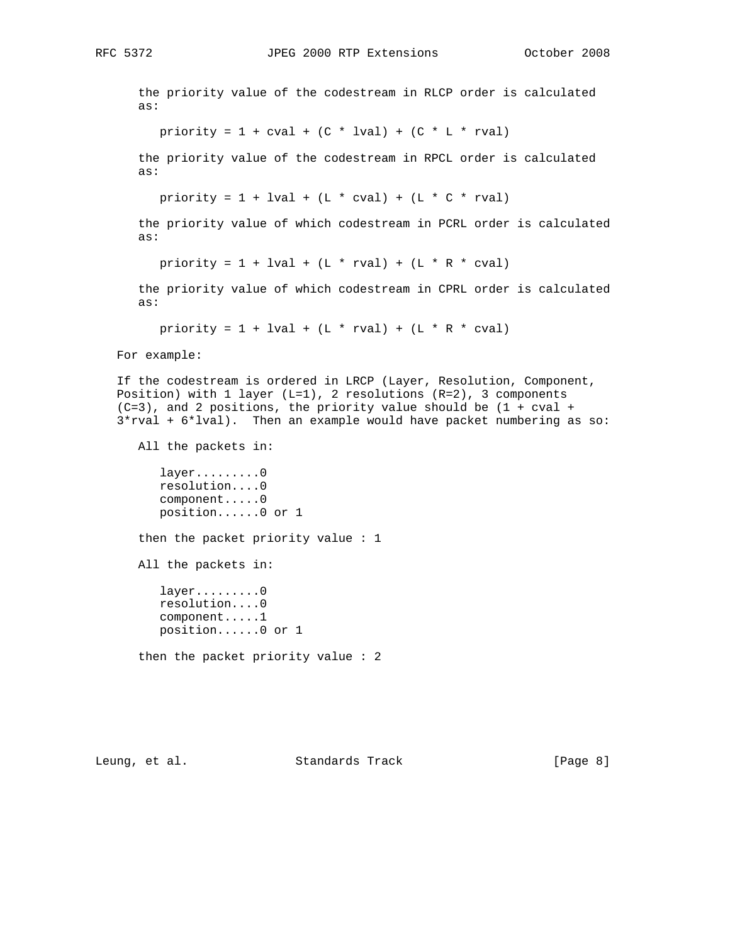the priority value of the codestream in RLCP order is calculated as: priority =  $1 + \text{cval} + (C * \text{lval}) + (C * L * \text{rval})$  the priority value of the codestream in RPCL order is calculated as: priority =  $1 + 1$ val +  $(L * cval) + (L * C * rval)$  the priority value of which codestream in PCRL order is calculated as: priority =  $1 + 1$ val + (L \* rval) + (L \* R \* cval) the priority value of which codestream in CPRL order is calculated as: priority =  $1 + 1$ val +  $(L * rval) + (L * R * cval)$  For example: If the codestream is ordered in LRCP (Layer, Resolution, Component, Position) with  $1$  layer (L=1),  $2$  resolutions (R=2),  $3$  components  $(C=3)$ , and 2 positions, the priority value should be  $(1 + cval + c)$  3\*rval + 6\*lval). Then an example would have packet numbering as so: All the packets in: layer........0 resolution....0 component.....0 position......0 or 1 then the packet priority value : 1 All the packets in: layer.........0 resolution....0 component.....1 position......0 or 1 then the packet priority value : 2

Leung, et al. Standards Track [Page 8]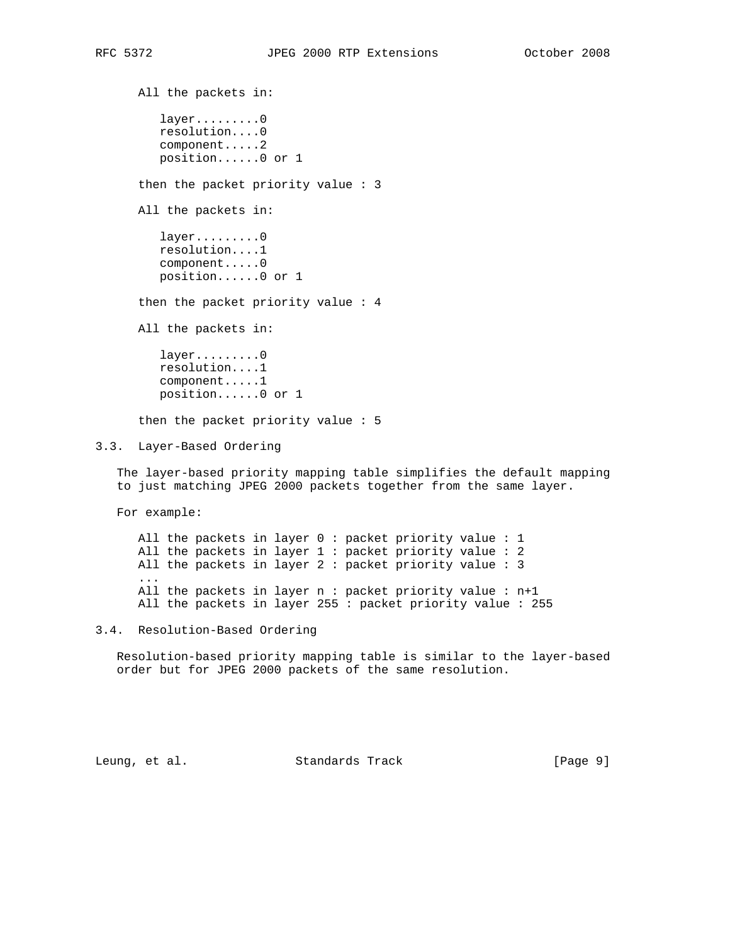All the packets in: layer.........0 resolution....0 component.....2 position......0 or 1 then the packet priority value : 3 All the packets in: layer.........0 resolution....1 component.....0 position......0 or 1 then the packet priority value : 4 All the packets in: layer.........0 resolution....1 component.....1 position......0 or 1 then the packet priority value : 5 3.3. Layer-Based Ordering

 The layer-based priority mapping table simplifies the default mapping to just matching JPEG 2000 packets together from the same layer.

For example:

 All the packets in layer 0 : packet priority value : 1 All the packets in layer 1 : packet priority value : 2 All the packets in layer 2 : packet priority value : 3 ... All the packets in layer n : packet priority value : n+1 All the packets in layer 255 : packet priority value : 255

3.4. Resolution-Based Ordering

 Resolution-based priority mapping table is similar to the layer-based order but for JPEG 2000 packets of the same resolution.

Leung, et al. Standards Track [Page 9]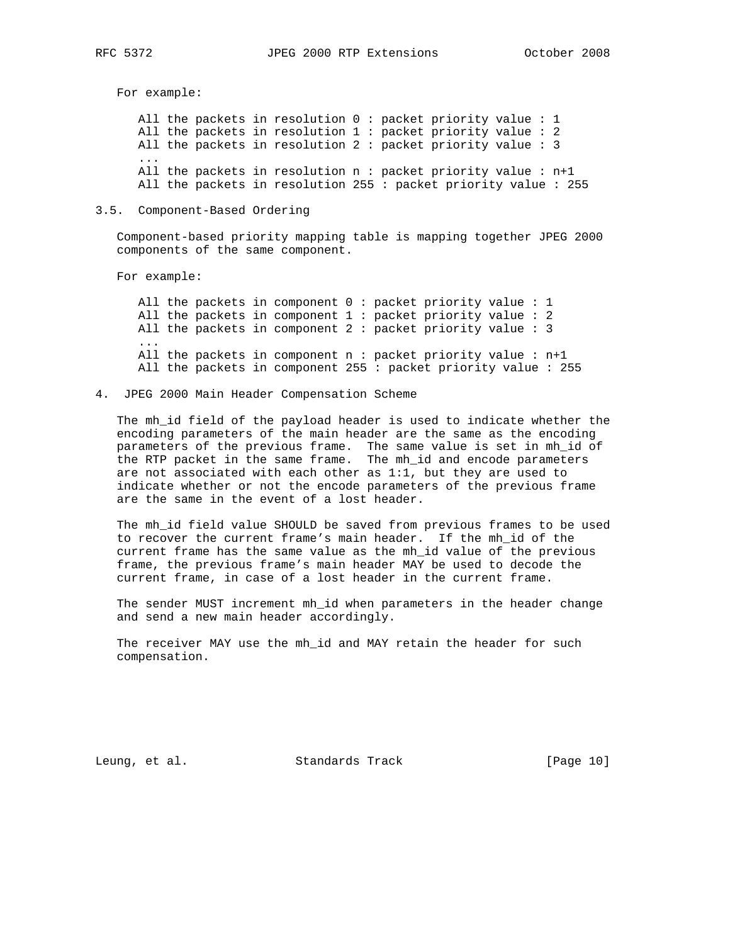For example:

 All the packets in resolution 0 : packet priority value : 1 All the packets in resolution 1 : packet priority value : 2 All the packets in resolution 2 : packet priority value : 3 ... All the packets in resolution n : packet priority value : n+1 All the packets in resolution 255 : packet priority value : 255

### 3.5. Component-Based Ordering

 Component-based priority mapping table is mapping together JPEG 2000 components of the same component.

For example:

 All the packets in component 0 : packet priority value : 1 All the packets in component 1 : packet priority value : 2 All the packets in component 2 : packet priority value : 3 ... All the packets in component n : packet priority value : n+1 All the packets in component 255 : packet priority value : 255

4. JPEG 2000 Main Header Compensation Scheme

 The mh\_id field of the payload header is used to indicate whether the encoding parameters of the main header are the same as the encoding parameters of the previous frame. The same value is set in mh\_id of the RTP packet in the same frame. The mh\_id and encode parameters are not associated with each other as 1:1, but they are used to indicate whether or not the encode parameters of the previous frame are the same in the event of a lost header.

 The mh\_id field value SHOULD be saved from previous frames to be used to recover the current frame's main header. If the mh\_id of the current frame has the same value as the mh\_id value of the previous frame, the previous frame's main header MAY be used to decode the current frame, in case of a lost header in the current frame.

 The sender MUST increment mh\_id when parameters in the header change and send a new main header accordingly.

 The receiver MAY use the mh\_id and MAY retain the header for such compensation.

Leung, et al. Standards Track [Page 10]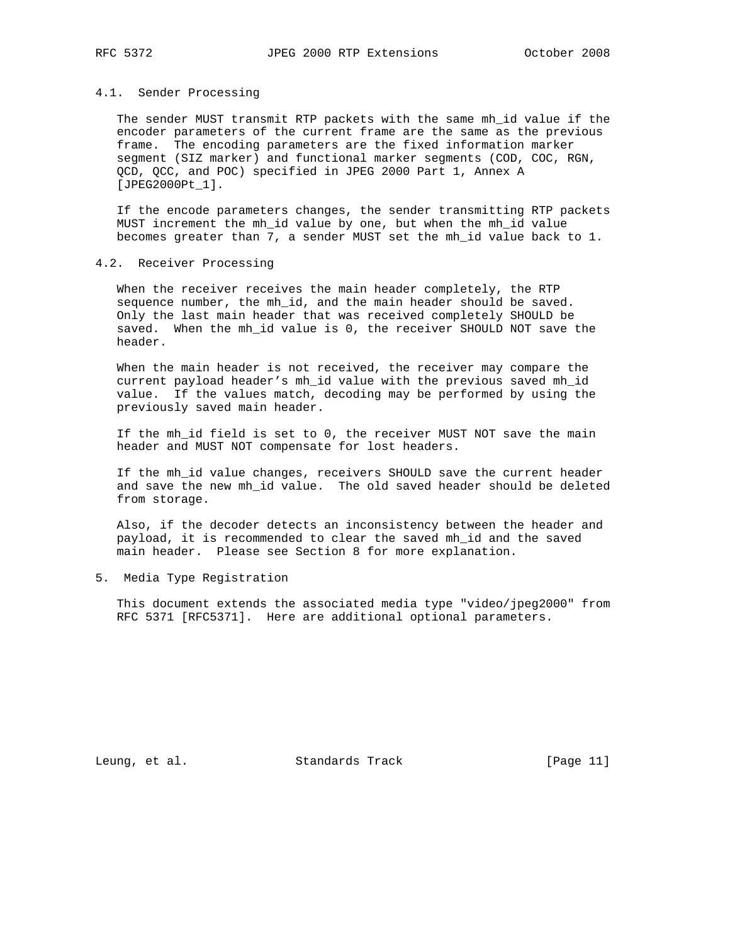#### 4.1. Sender Processing

 The sender MUST transmit RTP packets with the same mh\_id value if the encoder parameters of the current frame are the same as the previous frame. The encoding parameters are the fixed information marker segment (SIZ marker) and functional marker segments (COD, COC, RGN, QCD, QCC, and POC) specified in JPEG 2000 Part 1, Annex A [JPEG2000Pt\_1].

 If the encode parameters changes, the sender transmitting RTP packets MUST increment the mh\_id value by one, but when the mh\_id value becomes greater than 7, a sender MUST set the mh\_id value back to 1.

### 4.2. Receiver Processing

 When the receiver receives the main header completely, the RTP sequence number, the mh\_id, and the main header should be saved. Only the last main header that was received completely SHOULD be saved. When the mh\_id value is 0, the receiver SHOULD NOT save the header.

 When the main header is not received, the receiver may compare the current payload header's mh\_id value with the previous saved mh\_id value. If the values match, decoding may be performed by using the previously saved main header.

 If the mh\_id field is set to 0, the receiver MUST NOT save the main header and MUST NOT compensate for lost headers.

 If the mh\_id value changes, receivers SHOULD save the current header and save the new mh\_id value. The old saved header should be deleted from storage.

 Also, if the decoder detects an inconsistency between the header and payload, it is recommended to clear the saved mh\_id and the saved main header. Please see Section 8 for more explanation.

5. Media Type Registration

 This document extends the associated media type "video/jpeg2000" from RFC 5371 [RFC5371]. Here are additional optional parameters.

Leung, et al. Standards Track [Page 11]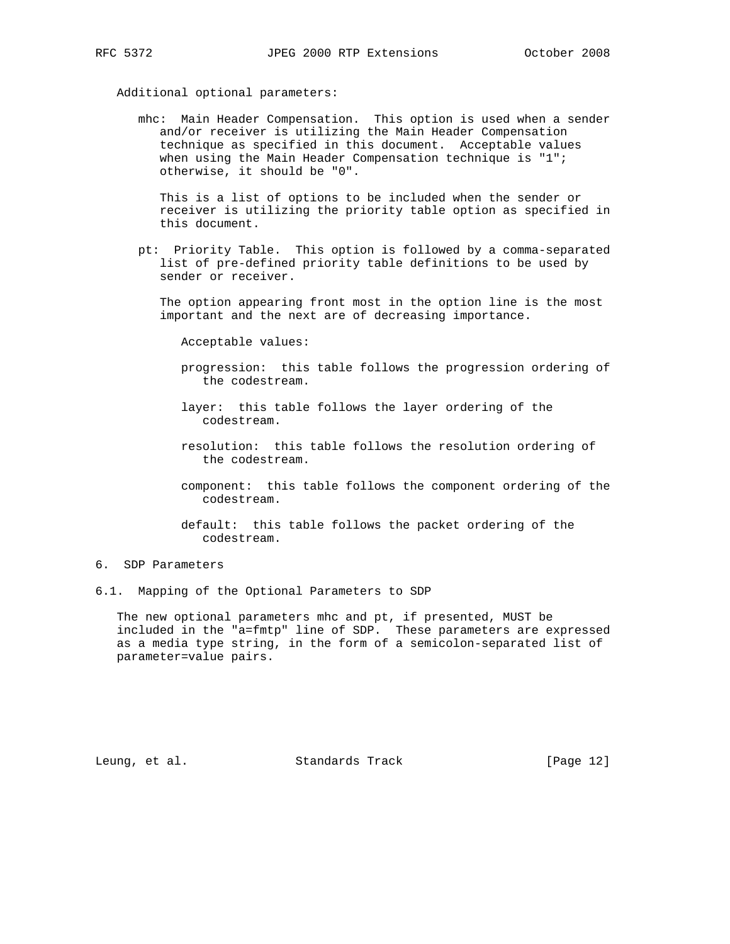### Additional optional parameters:

 mhc: Main Header Compensation. This option is used when a sender and/or receiver is utilizing the Main Header Compensation technique as specified in this document. Acceptable values when using the Main Header Compensation technique is "1"; otherwise, it should be "0".

 This is a list of options to be included when the sender or receiver is utilizing the priority table option as specified in this document.

 pt: Priority Table. This option is followed by a comma-separated list of pre-defined priority table definitions to be used by sender or receiver.

 The option appearing front most in the option line is the most important and the next are of decreasing importance.

Acceptable values:

- progression: this table follows the progression ordering of the codestream.
- layer: this table follows the layer ordering of the codestream.
- resolution: this table follows the resolution ordering of the codestream.
- component: this table follows the component ordering of the codestream.
- default: this table follows the packet ordering of the codestream.

# 6. SDP Parameters

6.1. Mapping of the Optional Parameters to SDP

 The new optional parameters mhc and pt, if presented, MUST be included in the "a=fmtp" line of SDP. These parameters are expressed as a media type string, in the form of a semicolon-separated list of parameter=value pairs.

Leung, et al. Standards Track [Page 12]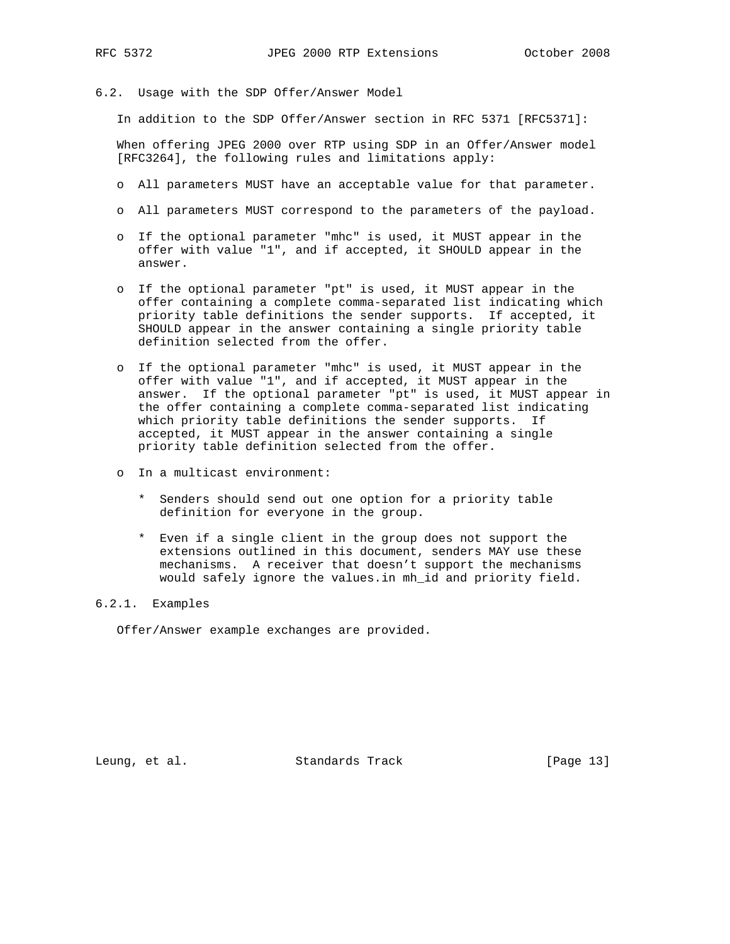- 
- 6.2. Usage with the SDP Offer/Answer Model

In addition to the SDP Offer/Answer section in RFC 5371 [RFC5371]:

 When offering JPEG 2000 over RTP using SDP in an Offer/Answer model [RFC3264], the following rules and limitations apply:

- o All parameters MUST have an acceptable value for that parameter.
- o All parameters MUST correspond to the parameters of the payload.
- o If the optional parameter "mhc" is used, it MUST appear in the offer with value "1", and if accepted, it SHOULD appear in the answer.
- o If the optional parameter "pt" is used, it MUST appear in the offer containing a complete comma-separated list indicating which priority table definitions the sender supports. If accepted, it SHOULD appear in the answer containing a single priority table definition selected from the offer.
- o If the optional parameter "mhc" is used, it MUST appear in the offer with value "1", and if accepted, it MUST appear in the answer. If the optional parameter "pt" is used, it MUST appear in the offer containing a complete comma-separated list indicating which priority table definitions the sender supports. If accepted, it MUST appear in the answer containing a single priority table definition selected from the offer.
- o In a multicast environment:
	- \* Senders should send out one option for a priority table definition for everyone in the group.
	- \* Even if a single client in the group does not support the extensions outlined in this document, senders MAY use these mechanisms. A receiver that doesn't support the mechanisms would safely ignore the values.in mh\_id and priority field.

# 6.2.1. Examples

Offer/Answer example exchanges are provided.

Leung, et al. Standards Track [Page 13]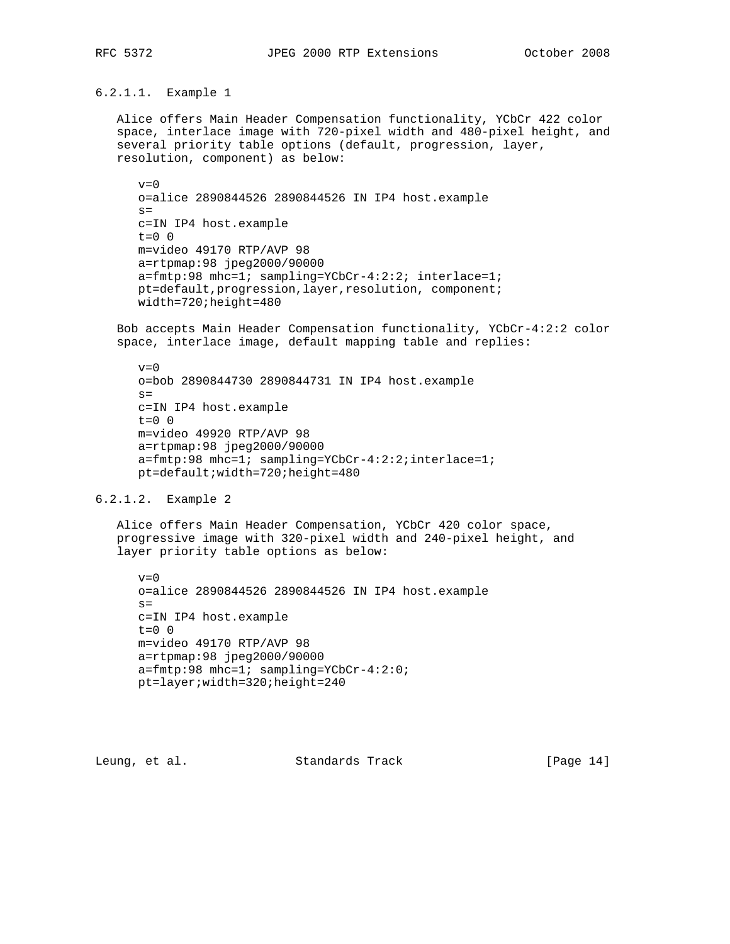6.2.1.1. Example 1

 Alice offers Main Header Compensation functionality, YCbCr 422 color space, interlace image with 720-pixel width and 480-pixel height, and several priority table options (default, progression, layer, resolution, component) as below:

 $v=0$  o=alice 2890844526 2890844526 IN IP4 host.example  $s=$  c=IN IP4 host.example  $t=0$  0 m=video 49170 RTP/AVP 98 a=rtpmap:98 jpeg2000/90000 a=fmtp:98 mhc=1; sampling=YCbCr-4:2:2; interlace=1; pt=default,progression,layer,resolution, component; width=720;height=480

 Bob accepts Main Header Compensation functionality, YCbCr-4:2:2 color space, interlace image, default mapping table and replies:

## $v=0$  o=bob 2890844730 2890844731 IN IP4 host.example  $s=$  c=IN IP4 host.example t=0 0 m=video 49920 RTP/AVP 98 a=rtpmap:98 jpeg2000/90000 a=fmtp:98 mhc=1; sampling=YCbCr-4:2:2;interlace=1; pt=default;width=720;height=480

6.2.1.2. Example 2

 Alice offers Main Header Compensation, YCbCr 420 color space, progressive image with 320-pixel width and 240-pixel height, and layer priority table options as below:

```
v=0 o=alice 2890844526 2890844526 IN IP4 host.example
s= c=IN IP4 host.example
t=0 0
 m=video 49170 RTP/AVP 98
 a=rtpmap:98 jpeg2000/90000
 a=fmtp:98 mhc=1; sampling=YCbCr-4:2:0;
 pt=layer;width=320;height=240
```
Leung, et al. Standards Track [Page 14]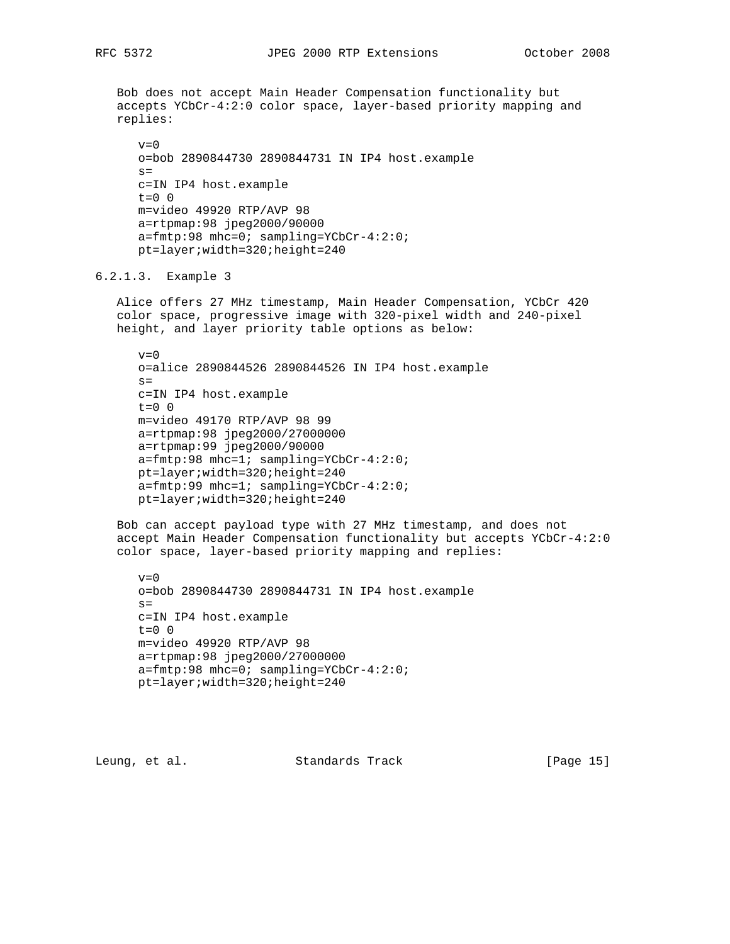Bob does not accept Main Header Compensation functionality but accepts YCbCr-4:2:0 color space, layer-based priority mapping and replies:  $v=0$  o=bob 2890844730 2890844731 IN IP4 host.example  $s=$  c=IN IP4 host.example  $t=0$  0 m=video 49920 RTP/AVP 98 a=rtpmap:98 jpeg2000/90000 a=fmtp:98 mhc=0; sampling=YCbCr-4:2:0; pt=layer;width=320;height=240 6.2.1.3. Example 3 Alice offers 27 MHz timestamp, Main Header Compensation, YCbCr 420 color space, progressive image with 320-pixel width and 240-pixel height, and layer priority table options as below:  $v=0$  o=alice 2890844526 2890844526 IN IP4 host.example  $s=$  c=IN IP4 host.example  $t=0$  0 m=video 49170 RTP/AVP 98 99 a=rtpmap:98 jpeg2000/27000000 a=rtpmap:99 jpeg2000/90000 a=fmtp:98 mhc=1; sampling=YCbCr-4:2:0; pt=layer;width=320;height=240 a=fmtp:99 mhc=1; sampling=YCbCr-4:2:0; pt=layer;width=320;height=240 Bob can accept payload type with 27 MHz timestamp, and does not accept Main Header Compensation functionality but accepts YCbCr-4:2:0 color space, layer-based priority mapping and replies:  $v=0$  o=bob 2890844730 2890844731 IN IP4 host.example  $s=$  c=IN IP4 host.example  $t=0$  0 m=video 49920 RTP/AVP 98 a=rtpmap:98 jpeg2000/27000000 a=fmtp:98 mhc=0; sampling=YCbCr-4:2:0; pt=layer;width=320;height=240

Leung, et al. Standards Track [Page 15]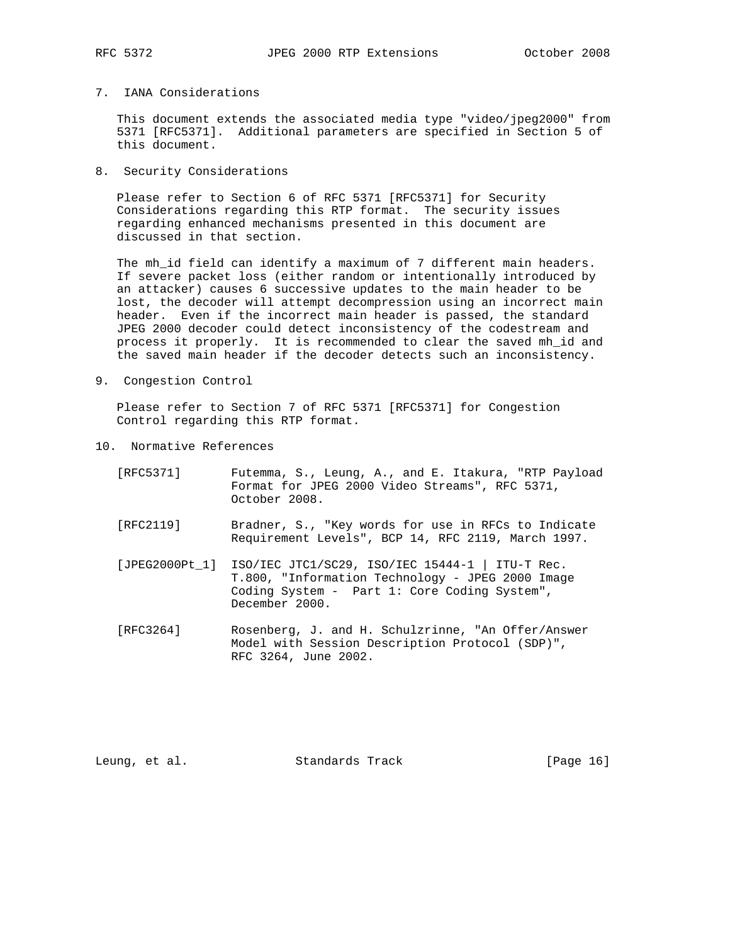## 7. IANA Considerations

 This document extends the associated media type "video/jpeg2000" from 5371 [RFC5371]. Additional parameters are specified in Section 5 of this document.

8. Security Considerations

 Please refer to Section 6 of RFC 5371 [RFC5371] for Security Considerations regarding this RTP format. The security issues regarding enhanced mechanisms presented in this document are discussed in that section.

 The mh\_id field can identify a maximum of 7 different main headers. If severe packet loss (either random or intentionally introduced by an attacker) causes 6 successive updates to the main header to be lost, the decoder will attempt decompression using an incorrect main header. Even if the incorrect main header is passed, the standard JPEG 2000 decoder could detect inconsistency of the codestream and process it properly. It is recommended to clear the saved mh\_id and the saved main header if the decoder detects such an inconsistency.

9. Congestion Control

 Please refer to Section 7 of RFC 5371 [RFC5371] for Congestion Control regarding this RTP format.

10. Normative References

| [RFC5371] | Futemma, S., Leung, A., and E. Itakura, "RTP Payload<br>Format for JPEG 2000 Video Streams", RFC 5371,<br>October 2008.                                                              |
|-----------|--------------------------------------------------------------------------------------------------------------------------------------------------------------------------------------|
| [RFC2119] | Bradner, S., "Key words for use in RFCs to Indicate<br>Requirement Levels", BCP 14, RFC 2119, March 1997.                                                                            |
|           | [JPEG2000Pt_1] ISO/IEC JTC1/SC29, ISO/IEC 15444-1   ITU-T Rec.<br>T.800, "Information Technology - JPEG 2000 Image<br>Coding System - Part 1: Core Coding System",<br>December 2000. |

 [RFC3264] Rosenberg, J. and H. Schulzrinne, "An Offer/Answer Model with Session Description Protocol (SDP)", RFC 3264, June 2002.

Leung, et al. Standards Track [Page 16]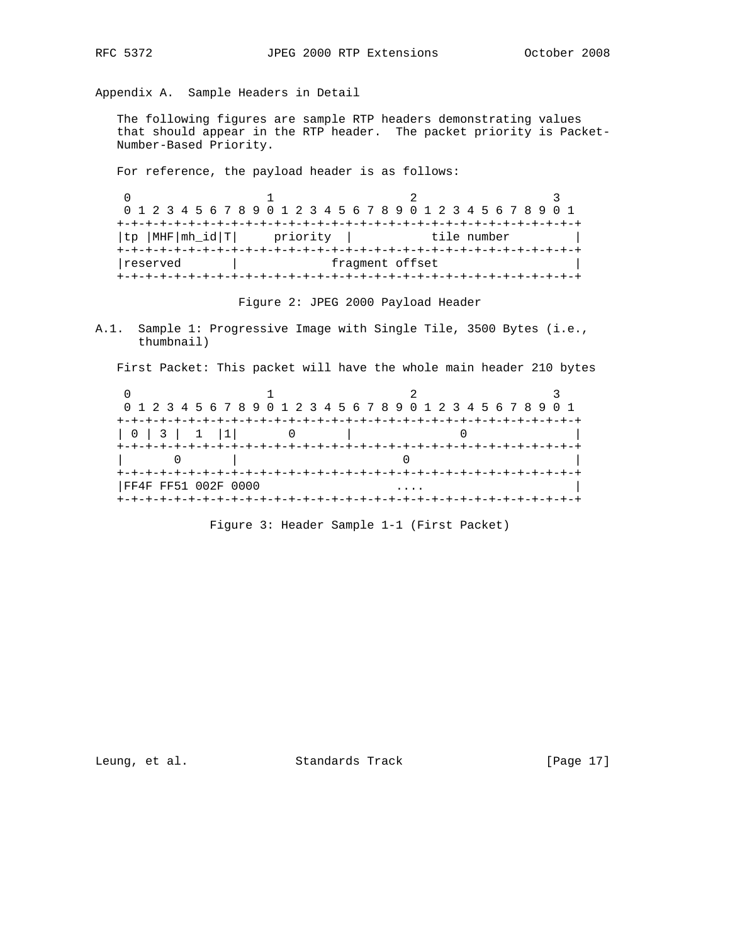Appendix A. Sample Headers in Detail

 The following figures are sample RTP headers demonstrating values that should appear in the RTP header. The packet priority is Packet- Number-Based Priority.

For reference, the payload header is as follows:

|                 |          | 0 1 2 3 4 5 6 7 8 9 0 1 2 3 4 5 6 7 8 9 0 1 2 3 4 5 6 7 8 9 0 1 |  |
|-----------------|----------|-----------------------------------------------------------------|--|
|                 |          |                                                                 |  |
| tp  MHF mh_id T | priority | tile number                                                     |  |
|                 |          |                                                                 |  |
| reserved        |          | fragment offset                                                 |  |
|                 |          |                                                                 |  |

Figure 2: JPEG 2000 Payload Header

A.1. Sample 1: Progressive Image with Single Tile, 3500 Bytes (i.e., thumbnail)

First Packet: This packet will have the whole main header 210 bytes

|                     |  | 0 1 2 3 4 5 6 7 8 9 0 1 2 3 4 5 6 7 8 9 0 1 2 3 4 5 6 7 8 9 0 1 |  |
|---------------------|--|-----------------------------------------------------------------|--|
|                     |  |                                                                 |  |
| 0 3 1 1             |  |                                                                 |  |
|                     |  |                                                                 |  |
| FF4F FF51 002F 0000 |  |                                                                 |  |
|                     |  |                                                                 |  |

Figure 3: Header Sample 1-1 (First Packet)

Leung, et al. Standards Track [Page 17]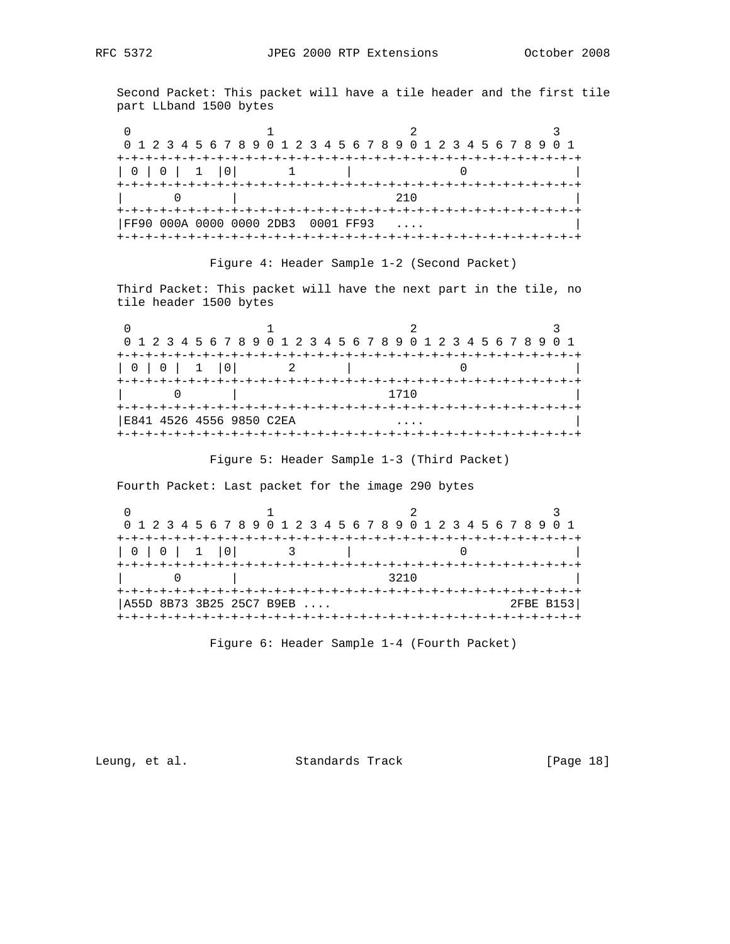Second Packet: This packet will have a tile header and the first tile part LLband 1500 bytes

|               |                                    | 0 1 2 3 4 5 6 7 8 9 0 1 2 3 4 5 6 7 8 9 0 1 2 3 4 5 6 7 8 9 0 1 |  |
|---------------|------------------------------------|-----------------------------------------------------------------|--|
|               |                                    |                                                                 |  |
| 0   0   1   0 |                                    |                                                                 |  |
|               |                                    | 21 N                                                            |  |
|               |                                    |                                                                 |  |
|               | FF90 000A 0000 0000 2DB3 0001 FF93 |                                                                 |  |
|               |                                    |                                                                 |  |

## Figure 4: Header Sample 1-2 (Second Packet)

 Third Packet: This packet will have the next part in the tile, no tile header 1500 bytes

|               |                          |      | 0 1 2 3 4 5 6 7 8 9 0 1 2 3 4 5 6 7 8 9 0 1 2 3 4 5 6 7 8 9 0 1 |
|---------------|--------------------------|------|-----------------------------------------------------------------|
|               |                          |      |                                                                 |
| 0   0   1   0 |                          |      |                                                                 |
|               |                          |      |                                                                 |
|               |                          | 1710 |                                                                 |
|               |                          |      |                                                                 |
|               | E841 4526 4556 9850 C2EA |      |                                                                 |
|               |                          |      |                                                                 |

# Figure 5: Header Sample 1-3 (Third Packet)

Fourth Packet: Last packet for the image 290 bytes

|               |                          | 0 1 2 3 4 5 6 7 8 9 0 1 2 3 4 5 6 7 8 9 0 1 2 3 4 5 6 7 8 9 0 1 |           |
|---------------|--------------------------|-----------------------------------------------------------------|-----------|
|               |                          |                                                                 |           |
| 0   0   1   0 |                          |                                                                 |           |
|               |                          | 3210                                                            |           |
|               | A55D 8B73 3B25 25C7 B9EB |                                                                 | 2FBE B153 |
|               | +-+-+-+-+-+-+-+-+-+-+-   |                                                                 |           |

Figure 6: Header Sample 1-4 (Fourth Packet)

Leung, et al. Standards Track [Page 18]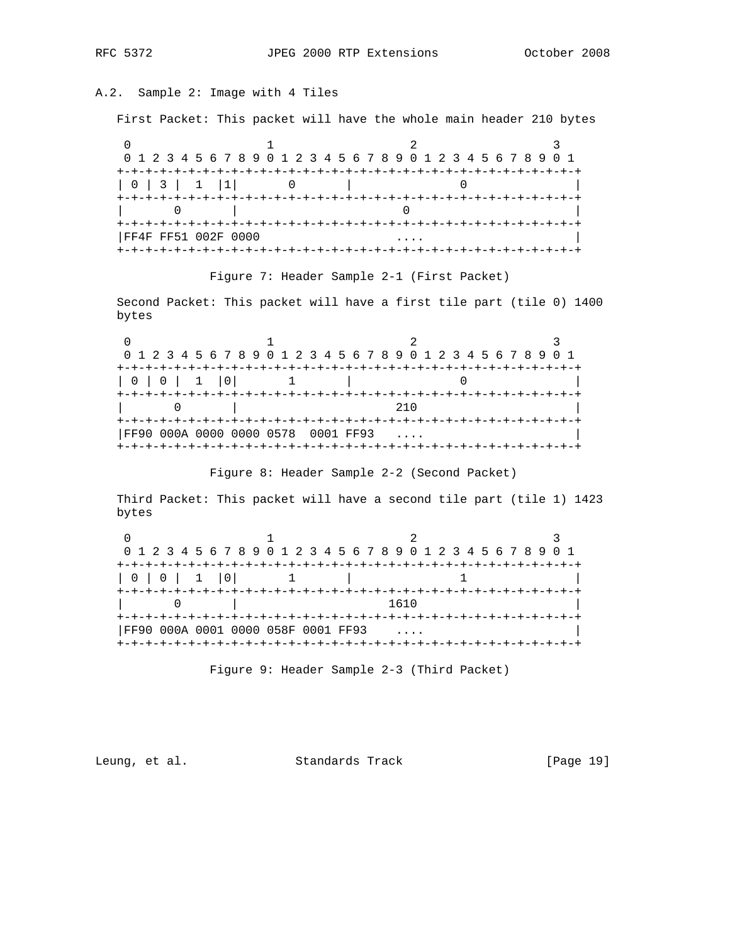# A.2. Sample 2: Image with 4 Tiles

First Packet: This packet will have the whole main header 210 bytes

|                     | 0 1 2 3 4 5 6 7 8 9 0 1 2 3 4 5 6 7 8 9 0 1 2 3 4 5 6 7 8 9 0 1 |  |  |
|---------------------|-----------------------------------------------------------------|--|--|
|                     |                                                                 |  |  |
| 0   3   1   1       |                                                                 |  |  |
|                     |                                                                 |  |  |
|                     |                                                                 |  |  |
|                     |                                                                 |  |  |
| FF4F FF51 002F 0000 |                                                                 |  |  |
|                     |                                                                 |  |  |

## Figure 7: Header Sample 2-1 (First Packet)

 Second Packet: This packet will have a first tile part (tile 0) 1400 bytes

|               |                                    | 0 1 2 3 4 5 6 7 8 9 0 1 2 3 4 5 6 7 8 9 0 1 2 3 4 5 6 7 8 9 0 1 |  |
|---------------|------------------------------------|-----------------------------------------------------------------|--|
|               |                                    |                                                                 |  |
| 0   0   1   0 |                                    |                                                                 |  |
|               |                                    |                                                                 |  |
|               |                                    | 210                                                             |  |
|               |                                    |                                                                 |  |
|               | FF90 000A 0000 0000 0578 0001 FF93 |                                                                 |  |
|               |                                    | +-+-+-+-+-+-+-+-+-+-+-                                          |  |

Figure 8: Header Sample 2-2 (Second Packet)

 Third Packet: This packet will have a second tile part (tile 1) 1423 bytes

|               |                               | 0 1 2 3 4 5 6 7 8 9 0 1 2 3 4 5 6 7 8 9 0 1 2 3 4 5 6 7 8 9 0 1 |  |
|---------------|-------------------------------|-----------------------------------------------------------------|--|
|               |                               |                                                                 |  |
| 0   0   1   0 |                               |                                                                 |  |
|               |                               |                                                                 |  |
|               |                               | 1610                                                            |  |
|               |                               |                                                                 |  |
|               | 000A 0001 0000 058F 0001 FF93 |                                                                 |  |
| FF90          |                               |                                                                 |  |

Figure 9: Header Sample 2-3 (Third Packet)

Leung, et al. Standards Track [Page 19]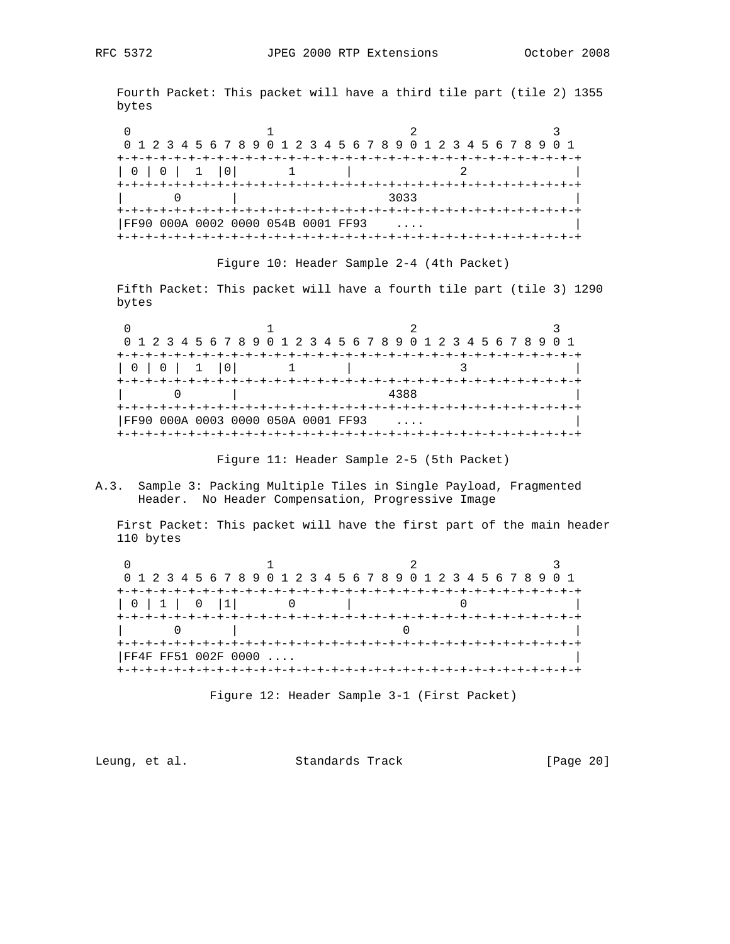Fourth Packet: This packet will have a third tile part (tile 2) 1355 bytes

0  $1$  2 3 0 1 2 3 4 5 6 7 8 9 0 1 2 3 4 5 6 7 8 9 0 1 2 3 4 5 6 7 8 9 0 1 +-+-+-+-+-+-+-+-+-+-+-+-+-+-+-+-+-+-+-+-+-+-+-+-+-+-+-+-+-+-+-+-+ | 0 | 0 | 1 |0| 1 | 2 | +-+-+-+-+-+-+-+-+-+-+-+-+-+-+-+-+-+-+-+-+-+-+-+-+-+-+-+-+-+-+-+-+ | 0 | 3033 | +-+-+-+-+-+-+-+-+-+-+-+-+-+-+-+-+-+-+-+-+-+-+-+-+-+-+-+-+-+-+-+-+ |FF90 000A 0002 0000 054B 0001 FF93 .... | +-+-+-+-+-+-+-+-+-+-+-+-+-+-+-+-+-+-+-+-+-+-+-+-+-+-+-+-+-+-+-+-+

Figure 10: Header Sample 2-4 (4th Packet)

 Fifth Packet: This packet will have a fourth tile part (tile 3) 1290 bytes

0  $1$  2 3 0 1 2 3 4 5 6 7 8 9 0 1 2 3 4 5 6 7 8 9 0 1 2 3 4 5 6 7 8 9 0 1 +-+-+-+-+-+-+-+-+-+-+-+-+-+-+-+-+-+-+-+-+-+-+-+-+-+-+-+-+-+-+-+-+ | 0 | 0 | 1 |0| 1 | 3 | +-+-+-+-+-+-+-+-+-+-+-+-+-+-+-+-+-+-+-+-+-+-+-+-+-+-+-+-+-+-+-+-+ | 0 | 4388 | +-+-+-+-+-+-+-+-+-+-+-+-+-+-+-+-+-+-+-+-+-+-+-+-+-+-+-+-+-+-+-+-+ |FF90 000A 0003 0000 050A 0001 FF93 .... | +-+-+-+-+-+-+-+-+-+-+-+-+-+-+-+-+-+-+-+-+-+-+-+-+-+-+-+-+-+-+-+-+

Figure 11: Header Sample 2-5 (5th Packet)

A.3. Sample 3: Packing Multiple Tiles in Single Payload, Fragmented Header. No Header Compensation, Progressive Image

 First Packet: This packet will have the first part of the main header 110 bytes

|               |                     | 0 1 2 3 4 5 6 7 8 9 0 1 2 3 4 5 6 7 8 9 0 1 2 3 4 5 6 7 8 9 0 1 |  |
|---------------|---------------------|-----------------------------------------------------------------|--|
|               |                     |                                                                 |  |
| 0   1   0   1 |                     |                                                                 |  |
|               |                     |                                                                 |  |
|               |                     |                                                                 |  |
|               |                     |                                                                 |  |
|               | FF4F FF51 002F 0000 |                                                                 |  |
|               |                     |                                                                 |  |

Figure 12: Header Sample 3-1 (First Packet)

Leung, et al. Standards Track [Page 20]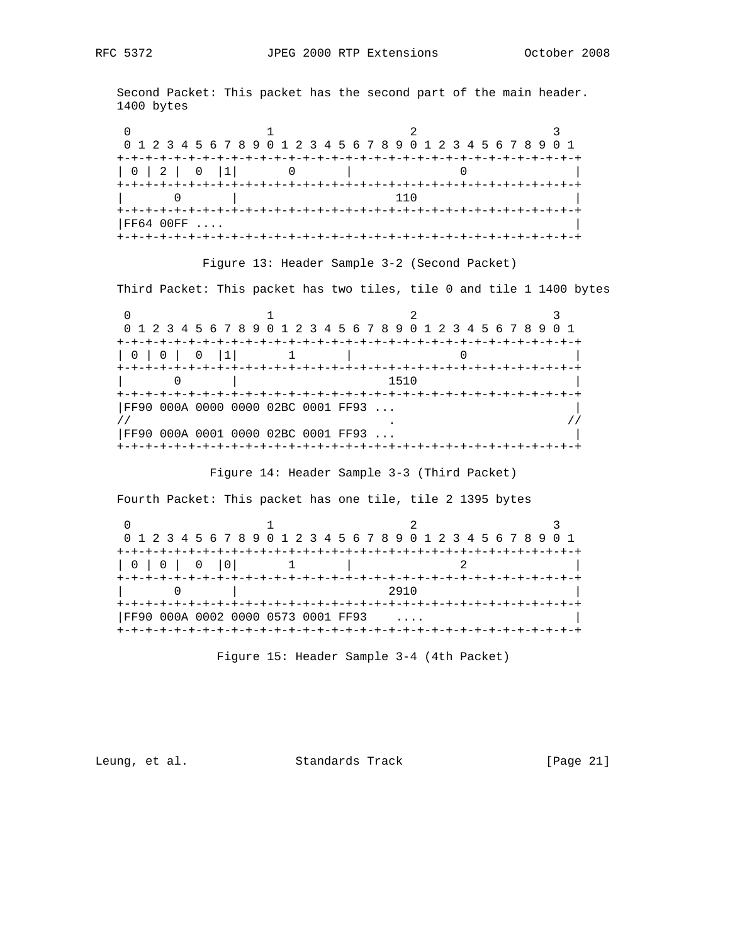Second Packet: This packet has the second part of the main header. 1400 bytes

|          | 0 1 2 3 4 5 6 7 8 9 0 1 2 3 4 5 6 7 8 9 0 1 2 3 4 5 6 7 8 9 0 1 |  |
|----------|-----------------------------------------------------------------|--|
|          |                                                                 |  |
| 0 2 0 1  |                                                                 |  |
|          |                                                                 |  |
|          | 11 N                                                            |  |
|          |                                                                 |  |
| FF6400FF |                                                                 |  |
|          |                                                                 |  |

## Figure 13: Header Sample 3-2 (Second Packet)

Third Packet: This packet has two tiles, tile 0 and tile 1 1400 bytes

|                                                                                                                                                                                                                                                                                                                                                                                                                                                      |                                    | 0 1 2 3 4 5 6 7 8 9 0 1 2 3 4 5 6 7 8 9 0 1 2 3 4 5 6 7 8 9 0 1 |  |
|------------------------------------------------------------------------------------------------------------------------------------------------------------------------------------------------------------------------------------------------------------------------------------------------------------------------------------------------------------------------------------------------------------------------------------------------------|------------------------------------|-----------------------------------------------------------------|--|
|                                                                                                                                                                                                                                                                                                                                                                                                                                                      |                                    |                                                                 |  |
| $\begin{array}{c c c c c c} \hline \multicolumn{1}{c }{\textbf{0} & \multicolumn{1}{c }{\textbf{0}} & \multicolumn{1}{c }{\textbf{0}} & \multicolumn{1}{c }{\textbf{0}} & \multicolumn{1}{c }{\textbf{0}} & \multicolumn{1}{c }{\textbf{0}} & \multicolumn{1}{c }{\textbf{0}} & \multicolumn{1}{c }{\textbf{0}} & \multicolumn{1}{c }{\textbf{0}} & \multicolumn{1}{c }{\textbf{0}} & \multicolumn{1}{c }{\textbf{0}} & \multicolumn{1}{c }{\textbf$ | $0$   1                            |                                                                 |  |
|                                                                                                                                                                                                                                                                                                                                                                                                                                                      |                                    |                                                                 |  |
|                                                                                                                                                                                                                                                                                                                                                                                                                                                      |                                    | 1510                                                            |  |
|                                                                                                                                                                                                                                                                                                                                                                                                                                                      |                                    |                                                                 |  |
|                                                                                                                                                                                                                                                                                                                                                                                                                                                      | FF90 000A 0000 0000 02BC 0001 FF93 |                                                                 |  |
|                                                                                                                                                                                                                                                                                                                                                                                                                                                      |                                    |                                                                 |  |
|                                                                                                                                                                                                                                                                                                                                                                                                                                                      | FF90 000A 0001 0000 02BC 0001 FF93 |                                                                 |  |
|                                                                                                                                                                                                                                                                                                                                                                                                                                                      |                                    |                                                                 |  |

Figure 14: Header Sample 3-3 (Third Packet)

Fourth Packet: This packet has one tile, tile 2 1395 bytes

|                                    | 0 1 2 3 4 5 6 7 8 9 0 1 2 3 4 5 6 7 8 9 0 1 2 3 4 5 6 7 8 9 0 1 |  |
|------------------------------------|-----------------------------------------------------------------|--|
|                                    |                                                                 |  |
|                                    |                                                                 |  |
|                                    | 2910                                                            |  |
| FF90 000A 0002 0000 0573 0001 FF93 |                                                                 |  |
|                                    |                                                                 |  |

Figure 15: Header Sample 3-4 (4th Packet)

Leung, et al. Standards Track [Page 21]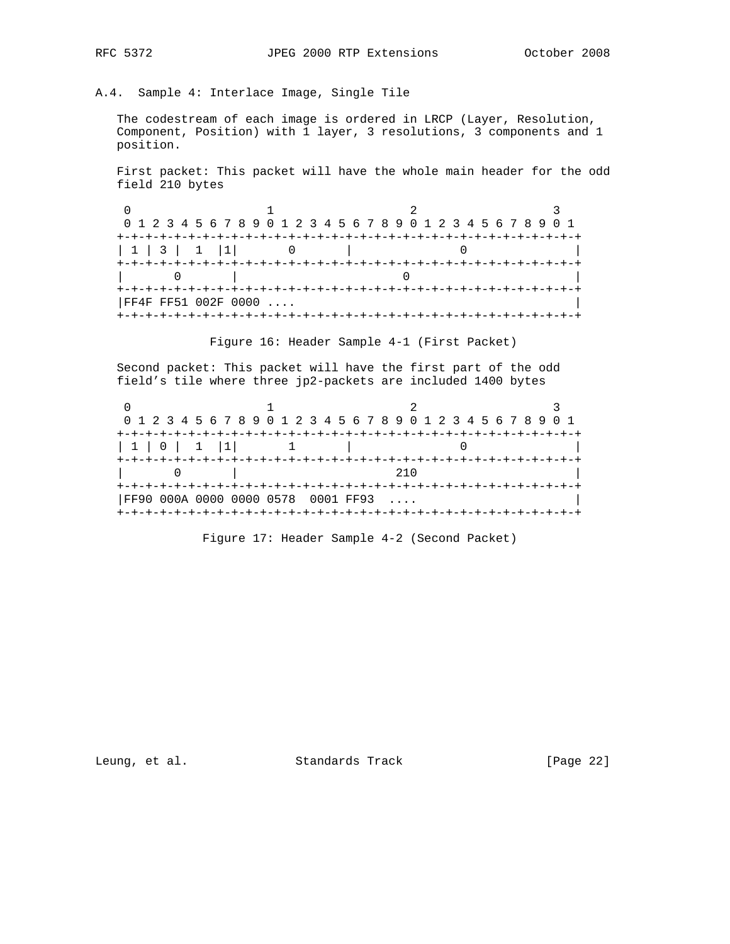# A.4. Sample 4: Interlace Image, Single Tile

 The codestream of each image is ordered in LRCP (Layer, Resolution, Component, Position) with 1 layer, 3 resolutions, 3 components and 1 position.

 First packet: This packet will have the whole main header for the odd field 210 bytes

|         |                     | 0 1 2 3 4 5 6 7 8 9 0 1 2 3 4 5 6 7 8 9 0 1 2 3 4 5 6 7 8 9 0 1 |  |
|---------|---------------------|-----------------------------------------------------------------|--|
|         |                     |                                                                 |  |
| 1 3 1 1 |                     |                                                                 |  |
|         |                     |                                                                 |  |
|         |                     |                                                                 |  |
|         |                     |                                                                 |  |
|         | FF4F FF51 002F 0000 |                                                                 |  |
|         |                     |                                                                 |  |

Figure 16: Header Sample 4-1 (First Packet)

 Second packet: This packet will have the first part of the odd field's tile where three jp2-packets are included 1400 bytes

|             |                                    | 0 1 2 3 4 5 6 7 8 9 0 1 2 3 4 5 6 7 8 9 0 1 2 3 4 5 6 7 8 9 0 1 |  |
|-------------|------------------------------------|-----------------------------------------------------------------|--|
|             |                                    |                                                                 |  |
| 1 1 0 1 1 1 |                                    |                                                                 |  |
|             |                                    |                                                                 |  |
|             |                                    | 21 N                                                            |  |
|             |                                    |                                                                 |  |
|             | FF90 000A 0000 0000 0578 0001 FF93 |                                                                 |  |
|             |                                    |                                                                 |  |

Figure 17: Header Sample 4-2 (Second Packet)

Leung, et al. Standards Track [Page 22]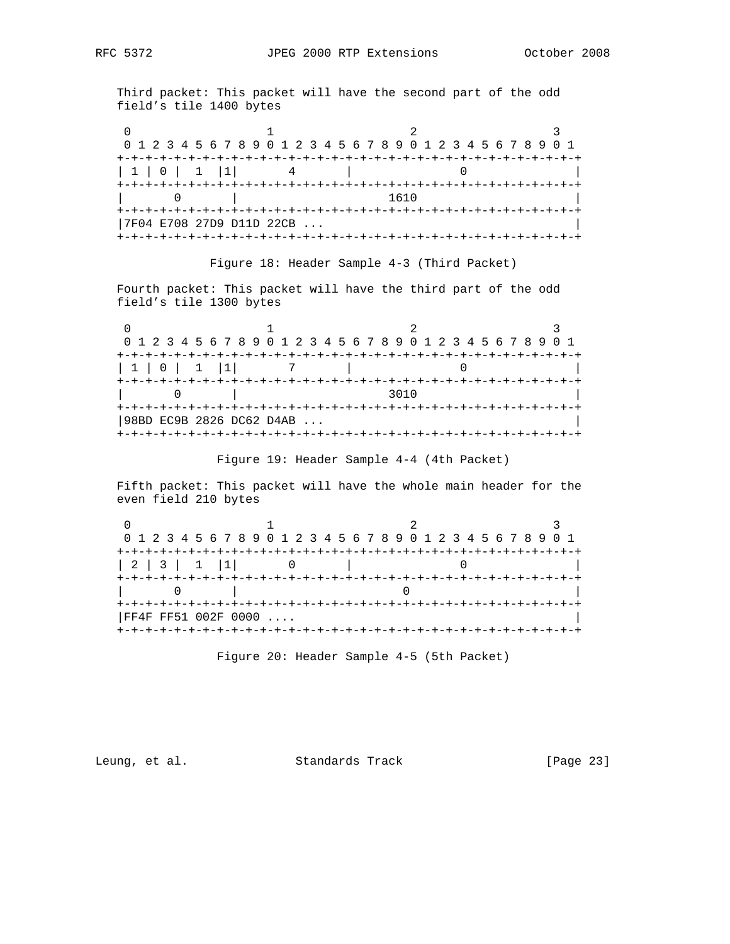Third packet: This packet will have the second part of the odd field's tile 1400 bytes

|         | 0 1 2 3 4 5 6 7 8 9 0 1 2 3 4 5 6 7 8 9 0 1 2 3 4 5 6 7 8 9 0 1 |      |  |
|---------|-----------------------------------------------------------------|------|--|
|         |                                                                 |      |  |
| 1 0 1 1 |                                                                 |      |  |
|         |                                                                 | 1610 |  |
|         |                                                                 |      |  |
|         | 7F04 E708 27D9 D11D 22CB                                        |      |  |
|         |                                                                 |      |  |

Figure 18: Header Sample 4-3 (Third Packet)

 Fourth packet: This packet will have the third part of the odd field's tile 1300 bytes

|        |                                     | 0 1 2 3 4 5 6 7 8 9 0 1 2 3 4 5 6 7 8 9 0 1 2 3 4 5 6 7 8 9 0 1 |  |
|--------|-------------------------------------|-----------------------------------------------------------------|--|
|        |                                     |                                                                 |  |
| 110111 |                                     |                                                                 |  |
|        |                                     | 3010                                                            |  |
|        |                                     | -+-+-+-+-+-+-+-+-+-+-+-+-+-+-+-+-+-+-                           |  |
|        | 98BD EC9B 2826 DC62 D4AB            |                                                                 |  |
|        | +-+-+-+-+-+-+-+-+-+-+-+-+-+-+-+-+-+ |                                                                 |  |

Figure 19: Header Sample 4-4 (4th Packet)

 Fifth packet: This packet will have the whole main header for the even field 210 bytes

|                     |  | 0 1 2 3 4 5 6 7 8 9 0 1 2 3 4 5 6 7 8 9 0 1 2 3 4 5 6 7 8 9 0 1 |
|---------------------|--|-----------------------------------------------------------------|
|                     |  |                                                                 |
| 2 3 1 1             |  |                                                                 |
|                     |  |                                                                 |
|                     |  |                                                                 |
| FF4F FF51 002F 0000 |  |                                                                 |
|                     |  |                                                                 |

Figure 20: Header Sample 4-5 (5th Packet)

Leung, et al. Standards Track [Page 23]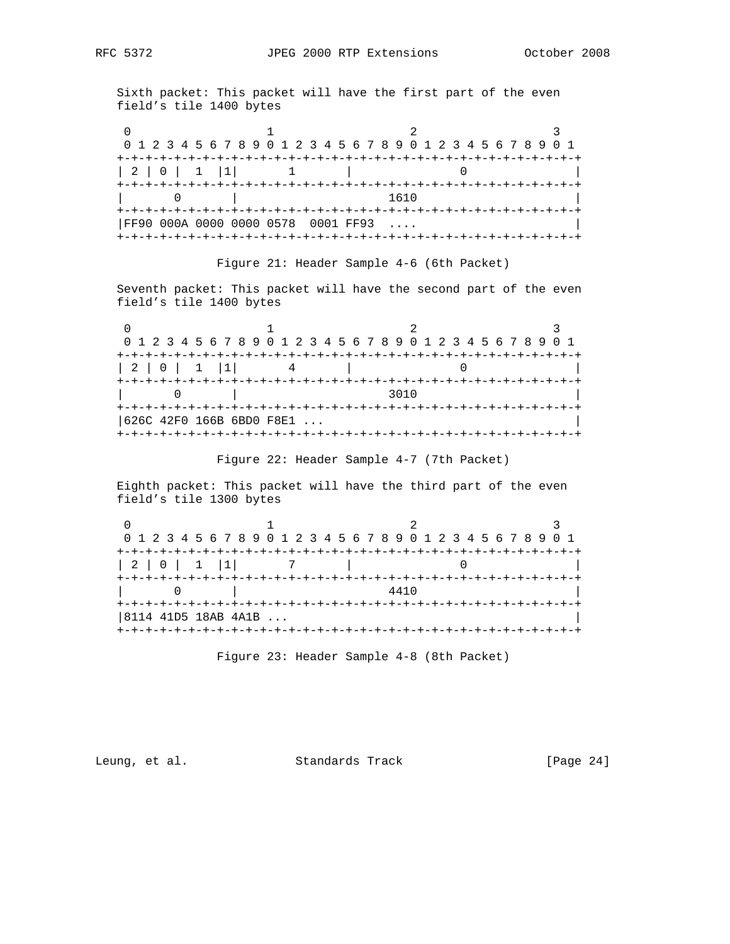Sixth packet: This packet will have the first part of the even field's tile 1400 bytes

|         | 0 1 2 3 4 5 6 7 8 9 0 1 2 3 4 5 6 7 8 9 0 1 2 3 4 5 6 7 8 9 0 1 |      |  |
|---------|-----------------------------------------------------------------|------|--|
|         |                                                                 |      |  |
| 2 0 1 1 |                                                                 |      |  |
|         | +-+-+-+-+-+-+-+-+-+-+-+-+-+-+-+-+-+-+-+                         | 1610 |  |
|         |                                                                 |      |  |
|         | FF90 000A 0000 0000 0578 0001 FF93                              |      |  |
|         |                                                                 |      |  |

Figure 21: Header Sample 4-6 (6th Packet)

 Seventh packet: This packet will have the second part of the even field's tile 1400 bytes

|         |                                       | 0 1 2 3 4 5 6 7 8 9 0 1 2 3 4 5 6 7 8 9 0 1 2 3 4 5 6 7 8 9 0 1 |  |
|---------|---------------------------------------|-----------------------------------------------------------------|--|
|         |                                       |                                                                 |  |
| 2 0 1 1 |                                       |                                                                 |  |
|         |                                       | 3010                                                            |  |
|         |                                       | -+-+-+-+-+-+-+-+-+-+-+-+-+-+-+-+-+                              |  |
|         | 626C 42F0 166B 6BD0 F8E1              |                                                                 |  |
|         | +-+-+-+-+-+-+-+-+-+-+-+-+-+-+-+-+-+-+ |                                                                 |  |

Figure 22: Header Sample 4-7 (7th Packet)

 Eighth packet: This packet will have the third part of the even field's tile 1300 bytes

|                        | 0 1 2 3 4 5 6 7 8 9 0 1 2 3 4 5 6 7 8 9 0 1 2 3 4 5 6 7 8 9 0 1 |  |
|------------------------|-----------------------------------------------------------------|--|
|                        |                                                                 |  |
| 2 0 1 1                |                                                                 |  |
|                        | 4410                                                            |  |
|                        |                                                                 |  |
| $ 8114$ 41D5 18AB 4A1B |                                                                 |  |
|                        |                                                                 |  |

Figure 23: Header Sample 4-8 (8th Packet)

Leung, et al. Standards Track [Page 24]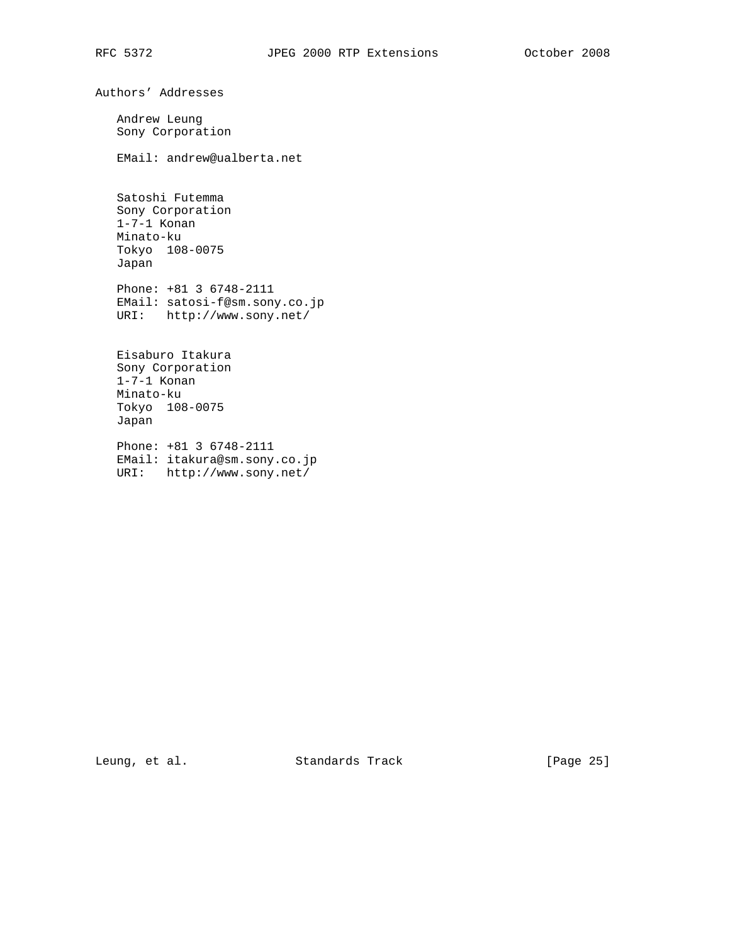Authors' Addresses Andrew Leung Sony Corporation EMail: andrew@ualberta.net Satoshi Futemma Sony Corporation 1-7-1 Konan Minato-ku Tokyo 108-0075 Japan Phone: +81 3 6748-2111 EMail: satosi-f@sm.sony.co.jp URI: http://www.sony.net/ Eisaburo Itakura Sony Corporation 1-7-1 Konan Minato-ku Tokyo 108-0075 Japan

 Phone: +81 3 6748-2111 EMail: itakura@sm.sony.co.jp URI: http://www.sony.net/

Leung, et al. Standards Track [Page 25]